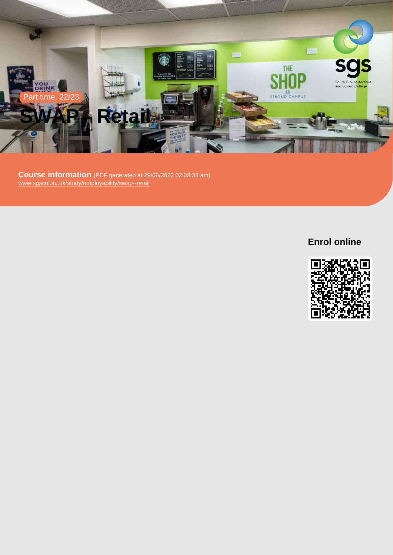

Course information (PDF generated at 29/06/2022 02:03:33 am) [www.sgscol.ac.uk/study/employability/swap--retail](https://www.sgscol.ac.uk/study/employability/swap--retail)

Enrol online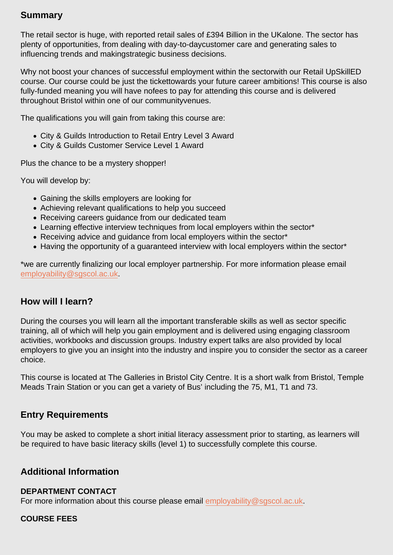# Summary

The retail sector is huge, with reported retail sales of £394 Billion in the UKalone. The sector has plenty of opportunities, from dealing with day-to-daycustomer care and generating sales to influencing trends and makingstrategic business decisions.

Why not boost your chances of successful employment within the sectorwith our Retail UpSkillED course. Our course could be just the tickettowards your future career ambitions! This course is also fully-funded meaning you will have nofees to pay for attending this course and is delivered throughout Bristol within one of our communityvenues.

The qualifications you will gain from taking this course are:

- City & Guilds Introduction to Retail Entry Level 3 Award
- City & Guilds Customer Service Level 1 Award

Plus the chance to be a mystery shopper!

You will develop by:

- Gaining the skills employers are looking for
- Achieving relevant qualifications to help you succeed
- Receiving careers guidance from our dedicated team
- Learning effective interview techniques from local employers within the sector\*
- Receiving advice and guidance from local employers within the sector\*
- Having the opportunity of a guaranteed interview with local employers within the sector<sup>\*</sup>

\*we are currently finalizing our local employer partnership. For more information please email [employability@sgscol.ac.uk.](mailto:employability@sgscol.ac.uk)

## How will I learn?

During the courses you will learn all the important transferable skills as well as sector specific training, all of which will help you gain employment and is delivered using engaging classroom activities, workbooks and discussion groups. Industry expert talks are also provided by local employers to give you an insight into the industry and inspire you to consider the sector as a career choice.

This course is located at The Galleries in Bristol City Centre. It is a short walk from Bristol, Temple Meads Train Station or you can get a variety of Bus' including the 75, M1, T1 and 73.

### Entry Requirements

You may be asked to complete a short initial literacy assessment prior to starting, as learners will be required to have basic literacy skills (level 1) to successfully complete this course.

Additional Information

#### DEPARTMENT CONTACT

For more information about this course please email [employability@sgscol.ac.uk.](mailto:employability@sgscol.ac.uk)

#### COURSE FEES